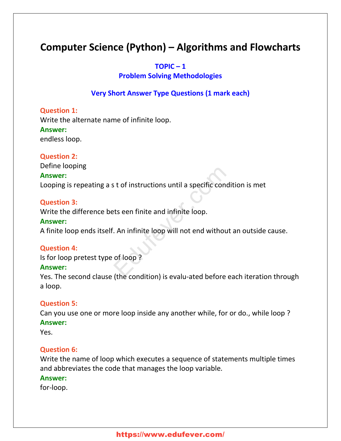# **Computer Science (Python) – Algorithms and Flowcharts**

#### $TOPIC - 1$

# **Problem Solving Methodologies**

# **Very Short Answer Type Questions (1 mark each)**

#### **Question 1:**

Write the alternate name of infinite loop. **Answer:** endless loop.

#### **Question 2:**

Define looping

# **Answer:**

Looping is repeating a s t of instructions until a specific condition is met External infinite and infinite loop.<br>External infinite loop.<br>An infinite loop will not end without a<br>of loop ?

#### **Question 3:**

Write the difference bets een finite and infinite loop.

#### **Answer:**

A finite loop ends itself. An infinite loop will not end without an outside cause.

#### **Question 4:**

Is for loop pretest type of loop ?

#### **Answer:**

Yes. The second clause (the condition) is evalu-ated before each iteration through a loop.

#### **Question 5:**

Can you use one or more loop inside any another while, for or do., while loop ? **Answer:**

Yes.

# **Question 6:**

Write the name of loop which executes a sequence of statements multiple times and abbreviates the code that manages the loop variable.

#### **Answer:**

for-loop.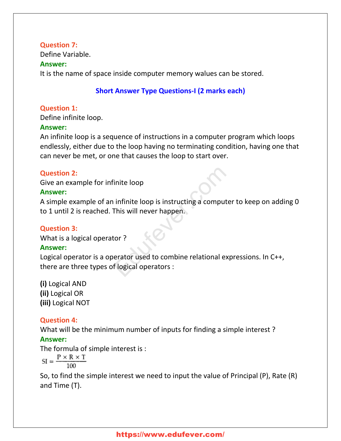# **Question 7:**

Define Variable.

#### **Answer:**

It is the name of space inside computer memory walues can be stored.

# **Short Answer Type Questions-I (2 marks each)**

# **Question 1:**

Define infinite loop.

# **Answer:**

An infinite loop is a sequence of instructions in a computer program which loops endlessly, either due to the loop having no terminating condition, having one that can never be met, or one that causes the loop to start over.

# **Question 2:**

Give an example for infinite loop

# **Answer:**

A simple example of an infinite loop is instructing a computer to keep on adding 0 to 1 until 2 is reached. This will never happen. This will never happen.<br>This will never happen.<br>This will never happen.<br>This will never happen.<br>This will never happen.<br>This experience of the relational experience of logical operators :

# **Question 3:**

What is a logical operator ?

# **Answer:**

Logical operator is a operator used to combine relational expressions. In C++, there are three types of logical operators :

**(i)** Logical AND **(ii)** Logical OR **(iii)** Logical NOT

# **Question 4:**

What will be the minimum number of inputs for finding a simple interest ?

# **Answer:**

The formula of simple interest is :

$$
\text{SI}=\frac{\text{P} \times \text{R} \times \text{T}}{100}
$$

So, to find the simple interest we need to input the value of Principal (P), Rate (R) and Time (T).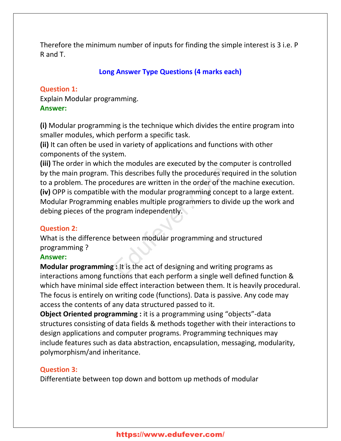Therefore the minimum number of inputs for finding the simple interest is 3 i.e. P R and T.

# **Long Answer Type Questions (4 marks each)**

# **Question 1:**

Explain Modular programming. **Answer:**

**(i)** Modular programming is the technique which divides the entire program into smaller modules, which perform a specific task.

**(ii)** It can often be used in variety of applications and functions with other components of the system.

**(iii)** The order in which the modules are executed by the computer is controlled by the main program. This describes fully the procedures required in the solution to a problem. The procedures are written in the order of the machine execution. **(iv)** OPP is compatible with the modular programming concept to a large extent. Modular Programming enables multiple programmers to divide up the work and debing pieces of the program independently. This describes fully the procedures requestive edures are written in the order of the n<br>
with the modular programming conceptions multiple programmers to divide<br>
togram independently.<br>
Setween modular programming and strat

# **Question 2:**

What is the difference between modular programming and structured programming ?

# **Answer:**

**Modular programming :** It is the act of designing and writing programs as interactions among functions that each perform a single well defined function & which have minimal side effect interaction between them. It is heavily procedural. The focus is entirely on writing code (functions). Data is passive. Any code may access the contents of any data structured passed to it.

**Object Oriented programming :** it is a programming using "objects"-data structures consisting of data fields & methods together with their interactions to design applications and computer programs. Programming techniques may include features such as data abstraction, encapsulation, messaging, modularity, polymorphism/and inheritance.

# **Question 3:**

Differentiate between top down and bottom up methods of modular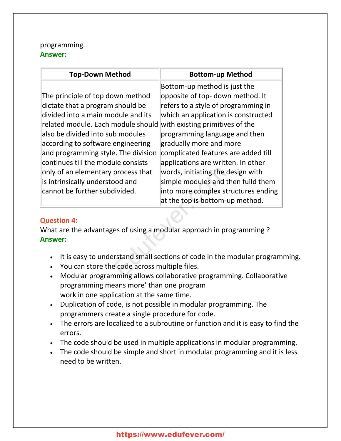# programming. **Answer:**

| <b>Top-Down Method</b>                                                                                                                                                                                                                                                                                                                                                                                           | <b>Bottom-up Method</b>                                                                                                                                                                                                                                                                                                                                                                                                                                                         |
|------------------------------------------------------------------------------------------------------------------------------------------------------------------------------------------------------------------------------------------------------------------------------------------------------------------------------------------------------------------------------------------------------------------|---------------------------------------------------------------------------------------------------------------------------------------------------------------------------------------------------------------------------------------------------------------------------------------------------------------------------------------------------------------------------------------------------------------------------------------------------------------------------------|
| The principle of top down method<br>dictate that a program should be<br>divided into a main module and its<br>related module. Each module should<br>also be divided into sub modules<br>according to software engineering<br>and programming style. The division<br>continues till the module consists<br>only of an elementary process that<br>is intrinsically understood and<br>cannot be further subdivided. | Bottom-up method is just the<br>opposite of top- down method. It<br>refers to a style of programming in<br>which an application is constructed<br>with existing primitives of the<br>programming language and then<br>gradually more and more<br>complicated features are added till<br>applications are written. In other<br>words, initiating the design with<br>simple modules and then fuild them<br>into more complex structures ending<br>at the top is bottom-up method. |
| <b>Question 4:</b><br>What are the advantages of using a modular approach in programming?<br><b>Answer:</b>                                                                                                                                                                                                                                                                                                      |                                                                                                                                                                                                                                                                                                                                                                                                                                                                                 |
| You can store the code across multiple files.                                                                                                                                                                                                                                                                                                                                                                    | It is easy to understand small sections of code in the modular program<br>Modular programming allows collaborative programming Collaborativ                                                                                                                                                                                                                                                                                                                                     |

# **Question 4:**

- It is easy to understand small sections of code in the modular programming.
- You can store the code across multiple files.
- Modular programming allows collaborative programming. Collaborative programming means more' than one program work in one application at the same time.
- Duplication of code, is not possible in modular programming. The programmers create a single procedure for code.
- The errors are localized to a subroutine or function and it is easy to find the errors.
- The code should be used in multiple applications in modular programming.
- The code should be simple and short in modular programming and it is less need to be written.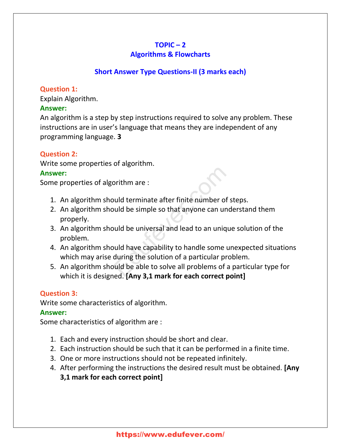# $TOPIC - 2$

# **Algorithms & Flowcharts**

# **Short Answer Type Questions-II (3 marks each)**

# **Question 1:**

Explain Algorithm.

# **Answer:**

An algorithm is a step by step instructions required to solve any problem. These instructions are in user's language that means they are independent of any programming language. **3**

# **Question 2:**

Write some properties of algorithm.

# **Answer:**

Some properties of algorithm are :

- 1. An algorithm should terminate after finite number of steps.
- 2. An algorithm should be simple so that anyone can understand them properly. orithm are :<br>
buld terminate after finite number of st<br>
buld be simple so that anyone can under<br>
buld be universal and lead to an unique<br>
buld have capability to handle some un<br>
during the solution of a particular problems
- 3. An algorithm should be universal and lead to an unique solution of the problem.
- 4. An algorithm should have capability to handle some unexpected situations which may arise during the solution of a particular problem.
- 5. An algorithm should be able to solve all problems of a particular type for which it is designed. **[Any 3,1 mark for each correct point]**

# **Question 3:**

Write some characteristics of algorithm.

# **Answer:**

Some characteristics of algorithm are :

- 1. Each and every instruction should be short and clear.
- 2. Each instruction should be such that it can be performed in a finite time.
- 3. One or more instructions should not be repeated infinitely.
- 4. After performing the instructions the desired result must be obtained. **[Any 3,1 mark for each correct point]**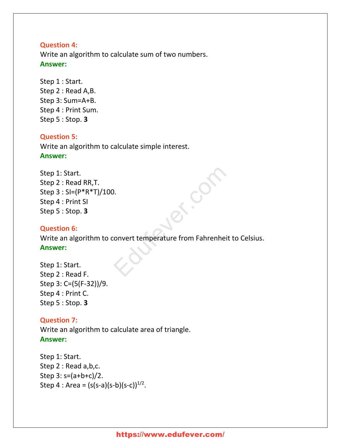## **Question 4:**

Write an algorithm to calculate sum of two numbers. **Answer:**

Step 1 : Start. Step 2 : Read A,B. Step 3: Sum=A+B. Step 4 : Print Sum. Step 5 : Stop. **3**

# **Question 5:**

Write an algorithm to calculate simple interest. **Answer:**

```
Step 1: Start.
Step 2 : Read RR,T.
Step 3 : SI=(P*R*T)/100.
Step 4 : Print SI
Step 5 : Stop. 3
```
# **Question 6:**

Write an algorithm to convert temperature from Fahrenheit to Celsius. **Answer:** ONE CONTROLLER<br>CONVETT LE TREPARTE FRAME FRAME DE LA CONVETT LE TREPARTE FRAME FRAME DE LA CONVERTITE DE LA CONVERTITE DE LA<br>CONVETT LE TREPARTE DE LA CONVERTITE DE LA CONVERTITE DE LA CONVERTITE DE LA CONVERTITE DE LA CON

Step 1: Start. Step 2 : Read F. Step 3: C=(5(F-32))/9. Step 4 : Print C. Step 5 : Stop. **3**

#### **Question 7:**

Write an algorithm to calculate area of triangle. **Answer:**

```
Step 1: Start.
Step 2 : Read a,b,c.
Step 3: s=(a+b+c)/2.
Step 4 : Area = (s(s-a)(s-b)(s-c))^{1/2}.
```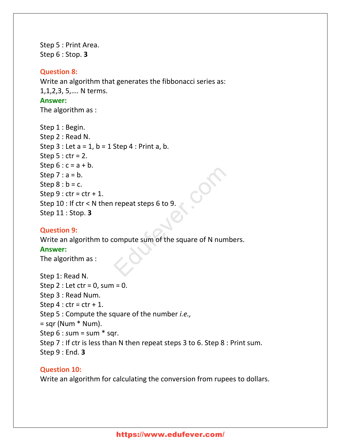Step 5 : Print Area. Step 6 : Stop. **3**

#### **Question 8:**

Write an algorithm that generates the fibbonacci series as: 1,1,2,3, 5,…. N terms. **Answer:** The algorithm as :

```
Step 1 : Begin.
Step 2 : Read N.
Step 3: Let a = 1, b = 1 Step 4: Print a, b.Step 5: ctr = 2.
Step 6: c = a + b.
Step 7 : a = b.
Step 8 : b = c.
Step 9: ctr = ctr + 1.
Step 10 : If ctr < N then repeat steps 6 to 9.
Step 11 : Stop. 3
                           repeat steps 6 to 9.<br>Compute sum of the square of N number.
```
#### **Question 9:**

Write an algorithm to compute sum of the square of N numbers.

#### **Answer:**

The algorithm as :

Step 1: Read N. Step 2 : Let  $ctr = 0$ , sum = 0. Step 3 : Read Num. Step  $4:$  ctr = ctr + 1. Step 5 : Compute the square of the number *i.e.,*  $=$  sqr (Num  $*$  Num). Step 6 : *s*um = sum \* sqr. Step 7 : If ctr is less than N then repeat steps 3 to 6. Step 8 : Print sum. Step 9 : End. **3**

#### **Question 10:**

Write an algorithm for calculating the conversion from rupees to dollars.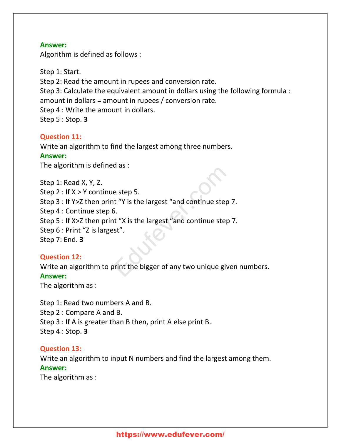Algorithm is defined as follows :

Step 1: Start. Step 2: Read the amount in rupees and conversion rate. Step 3: Calculate the equivalent amount in dollars using the following formula : amount in dollars = amount in rupees / conversion rate. Step 4 : Write the amount in dollars. Step 5 : Stop. **3**

#### **Question 11:**

Write an algorithm to find the largest among three numbers. **Answer:** The algorithm is defined as :

Step 1: Read X, Y, Z. Step 2 : If X > Y continue step 5. Step 3 : If Y>Z then print "Y is the largest "and continue step 7. Step 4 : Continue step 6. Step 5 : If X>Z then print "X is the largest "and continue step 7. Step 6 : Print "Z is largest". Step 7: End. **3** e step 5.<br>
It "Y is the largest "and continue step 7<br>
5.<br>
It "X is the largest "and continue step 7<br>
st".<br>
Print the bigger of any two unique give

# **Question 12:**

Write an algorithm to print the bigger of any two unique given numbers. **Answer:** The algorithm as :

Step 1: Read two numbers A and B. Step 2 : Compare A and B. Step 3 : If A is greater than B then, print A else print B. Step 4 : Stop. **3**

#### **Question 13:**

Write an algorithm to input N numbers and find the largest among them. **Answer:**

The algorithm as :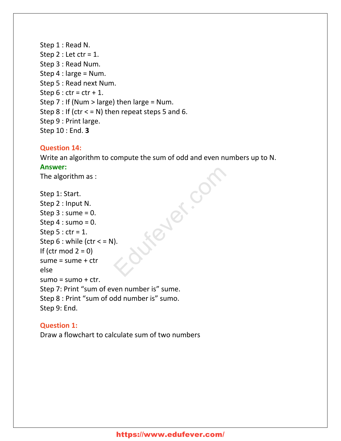Step 1 : Read N. Step  $2:$  Let  $ctr = 1$ . Step 3 : Read Num. Step 4 : large = Num. Step 5 : Read next Num. Step  $6:$  ctr = ctr + 1. Step  $7$  : If (Num > large) then large = Num. Step  $8$ : If (ctr  $\lt$  = N) then repeat steps 5 and 6. Step 9 : Print large. Step 10 : End. **3**

# **Question 14:**

Write an algorithm to compute the sum of odd and even numbers up to N. **Answer:**

The algorithm as :

```
Step 1: Start.
Step 2 : Input N.
Step 3: sume = 0.
Step 4: sumo = 0.
Step 5: ctr = 1.
Step 6: while (ctr \lt = N).
If (ctr mod 2 = 0)
sume = sume + ctr
else
sumo = sumo + ctr.Step 7: Print "sum of even number is" sume.
Step 8 : Print "sum of odd number is" sumo.
Step 9: End.
                                ever.com
```
# **Question 1:** Draw a flowchart to calculate sum of two numbers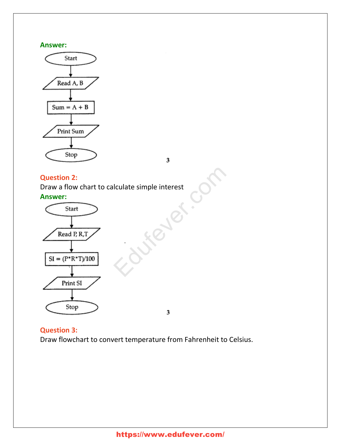

3

#### **Question 2:**

Draw a flow chart to calculate simple interest **Answer:** Iculate simple interest



3

#### **Question 3:**

Draw flowchart to convert temperature from Fahrenheit to Celsius.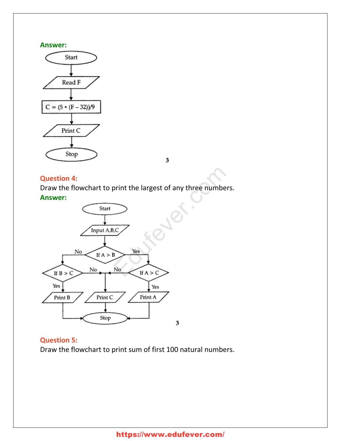

 $\overline{\mathbf{3}}$ 

# **Question 4:**

Draw the flowchart to print the largest of any three numbers. **Answer:**



# **Question 5:**

Draw the flowchart to print sum of first 100 natural numbers.